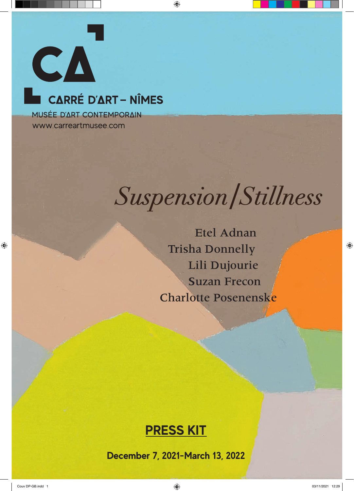

# **LE CARRÉ D'ART - NÎMES**

MUSÉE D'ART CONTEMPORAIN www.carreartmusee.com

# Suspension / Stillness

**Etel Adnan Trisha Donnelly** Lili Dujourie **Suzan Frecon Charlotte Posenenske** 

# **PRESS KIT**

**December 7, 2021-March 13, 2022**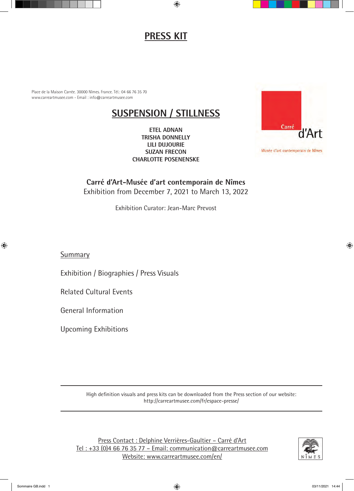## **PRESS KIT**

Place de la Maison Carrée. 30000 Nîmes. France. Tél.: 04 66 76 35 70 www.carreartmusee.com - Email : info@carreartmusee.com

# **SUSPENSION / STILLNESS**

**ETEL ADNAN TRISHA DONNELLY LILI DUJOURIE SUZAN FRECON CHARLOTTE POSENENSKE**



**Carré d'Art-Musée d'art contemporain de Nîmes** Exhibition from December 7, 2021 to March 13, 2022

Exhibition Curator: Jean-Marc Prevost

**Summary** 

Exhibition / Biographies / Press Visuals

Related Cultural Events

General Information

Upcoming Exhibitions

High definition visuals and press kits can be downloaded from the Press section of our website: http://carreartmusee.com/fr/espace-presse/

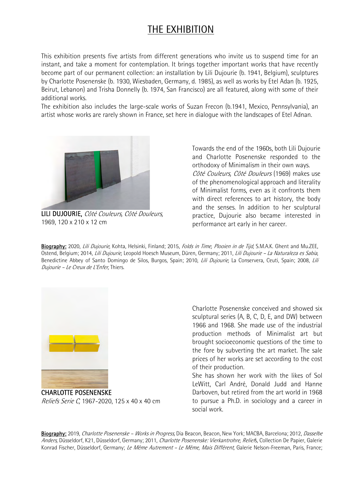## THE EXHIBITION

This exhibition presents five artists from different generations who invite us to suspend time for an instant, and take a moment for contemplation. It brings together important works that have recently become part of our permanent collection: an installation by Lili Dujourie (b. 1941, Belgium), sculptures by Charlotte Posenenske (b. 1930, Wiesbaden, Germany, d. 1985), as well as works by Etel Adan (b. 1925, Beirut, Lebanon) and Trisha Donnelly (b. 1974, San Francisco) are all featured, along with some of their additional works.

The exhibition also includes the large-scale works of Suzan Frecon (b.1941, Mexico, Pennsylvania), an artist whose works are rarely shown in France, set here in dialogue with the landscapes of Etel Adnan.



LILI DUJOURIE, Côté Couleurs, Côté Douleurs, 1969, 120 x 210 x 12 cm

Towards the end of the 1960s, both Lili Dujourie and Charlotte Posenenske responded to the orthodoxy of Minimalism in their own ways. Côté Couleurs, Côté Douleurs (1969) makes use of the phenomenological approach and literality of Minimalist forms, even as it confronts them with direct references to art history, the body and the senses. In addition to her sculptural practice, Dujourie also became interested in performance art early in her career.

Biography: 2020, Lili Dujourie, Kohta, Helsinki, Finland; 2015, Folds in Time, Plooien in de Tijd, S.M.A.K. Ghent and Mu.ZEE, Ostend, Belgium; 2014, *Lili Dujourie*, Leopold Hoesch Museum, Düren, Germany; 2011, *Lili Dujourie – La Naturaleza es Sabia*, Benedictine Abbey of Santo Domingo de Silos, Burgos, Spain; 2010, Lili Dujourie, La Conservera, Ceuti, Spain; 2008, Lili Dujourie – Le Creux de L'Enfer, Thiers.

CHARLOTTE POSENENSKE

Reliefs Serie C, 1967-2020, 125 x 40 x 40 cm

Charlotte Posenenske conceived and showed six sculptural series (A, B, C, D, E, and DW) between 1966 and 1968. She made use of the industrial production methods of Minimalist art but brought socioeconomic questions of the time to the fore by subverting the art market. The sale prices of her works are set according to the cost of their production.

She has shown her work with the likes of Sol LeWitt, Carl André, Donald Judd and Hanne Darboven, but retired from the art world in 1968 to pursue a Ph.D. in sociology and a career in social work.

Biography: 2019, Charlotte Posenenske – Works in Progress, Dia Beacon, Beacon, New York; MACBA, Barcelona; 2012, Dasselbe Anders, Düsseldorf, K21, Düsseldorf, Germany; 2011, Charlotte Posenenske: Vierkantrohre, Reliefs, Collection De Papier, Galerie Konrad Fischer, Düsseldorf, Germany; Le Même Autrement - Le Même, Mais Différent, Galerie Nelson-Freeman, Paris, France;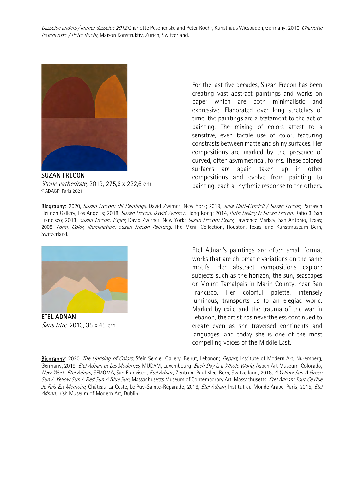Dasselbe anders / Immer dasselbe 2012 Charlotte Posenenske and Peter Roehr, Kunsthaus Wiesbaden, Germany; 2010, Charlotte Posenenske / Peter Roehr, Maison Konstruktiv, Zurich, Switzerland.



SUZAN FRECON Stone cathedrale, 2019, 275,6 x 222,6 cm © ADAGP, Paris 2021

For the last five decades, Suzan Frecon has been creating vast abstract paintings and works on paper which are both minimalistic and expressive. Elaborated over long stretches of time, the paintings are a testament to the act of painting. The mixing of colors attest to a sensitive, even tactile use of color, featuring constrasts between matte and shiny surfaces. Her compositions are marked by the presence of curved, often asymmetrical, forms. These colored surfaces are again taken up in other compositions and evolve from painting to painting, each a rhythmic response to the others.

Biography: 2020, Suzan Frecon: Oil Paintings, David Zwirner, New York; 2019, Julia Haft-Candell / Suzan Frecon, Parrasch Heijnen Gallery, Los Angeles; 2018, Suzan Frecon, David Zwirner, Hong Kong; 2014, Ruth Laskey & Suzan Frecon, Ratio 3, San Francisco; 2013, Suzan Frecon: Paper, David Zwirner, New York; Suzan Frecon: Paper, Lawrence Markey, San Antonio, Texas; 2008, Form, Color, Illumination: Suzan Frecon Painting, The Menil Collection, Houston, Texas, and Kunstmuseum Bern, Switzerland.



Sans titre, 2013, 35 x 45 cm

Etel Adnan's paintings are often small format works that are chromatic variations on the same motifs. Her abstract compositions explore subjects such as the horizon, the sun, seascapes or Mount Tamalpais in Marin County, near San Francisco. Her colorful palette, intensely luminous, transports us to an elegiac world. Marked by exile and the trauma of the war in Lebanon, the artist has nevertheless continued to create even as she traversed continents and languages, and today she is one of the most compelling voices of the Middle East.

Biography: 2020, The Uprising of Colors, Sfeir-Semler Gallery, Beirut, Lebanon; Départ, Institute of Modern Art, Nuremberg, Germany; 2019, *Etel Adnan et Les Modernes*, MUDAM, Luxembourg; *Each Day is a Whole World*, Aspen Art Museum, Colorado; New Work: Etel Adnan, SFMOMA, San Francisco; Etel Adnan, Zentrum Paul Klee, Bern, Switzerland; 2018, A Yellow Sun A Green Sun A Yellow Sun A Red Sun A Blue Sun, Massachusetts Museum of Contemporary Art, Massachusetts; Etel Adnan: Tout Ce Que Je Fais Est Mémoire, Château La Coste, Le Puy-Sainte-Réparade; 2016, Etel Adnan, Institut du Monde Arabe, Paris; 2015, Etel Adnan, Irish Museum of Modern Art, Dublin.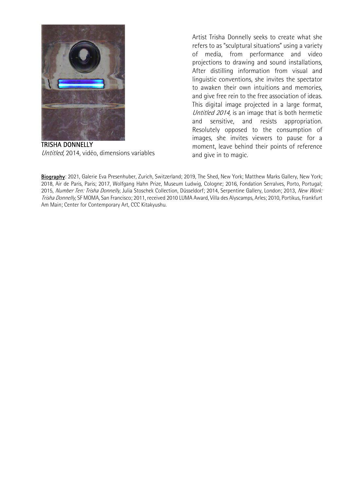

TRISHA DONNELLY Untitled, 2014, vidéo, dimensions variables

Artist Trisha Donnelly seeks to create what she refers to as "sculptural situations" using a variety of media, from performance and video projections to drawing and sound installations, After distilling information from visual and linguistic conventions, she invites the spectator to awaken their own intuitions and memories, and give free rein to the free association of ideas. This digital image projected in a large format, Untitled 2014, is an image that is both hermetic and sensitive, and resists appropriation. Resolutely opposed to the consumption of images, she invites viewers to pause for a moment, leave behind their points of reference and give in to magic.

Biography: 2021, Galerie Eva Presenhuber, Zurich, Switzerland; 2019, The Shed, New York; Matthew Marks Gallery, New York; 2018, Air de Paris, Paris; 2017, Wolfgang Hahn Prize, Museum Ludwig, Cologne; 2016, Fondation Serralves, Porto, Portugal; 2015, Number Ten: Trisha Donnelly, Julia Stoschek Collection, Düsseldorf; 2014, Serpentine Gallery, London; 2013, New Work: Trisha Donnelly, SF MOMA, San Francisco; 2011, received 2010 LUMA Award, Villa des Alyscamps, Arles; 2010, Portikus, Frankfurt Am Main; Center for Contemporary Art, CCC Kitakyushu.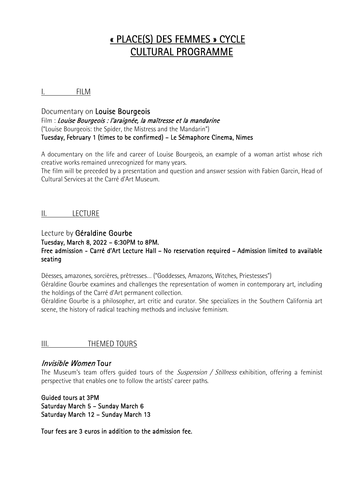# « PLACE(S) DES FEMMES » CYCLE CULTURAL PROGRAMME

I. FILM

Documentary on Louise Bourgeois Film : Louise Bourgeois : l'araignée, la maîtresse et la mandarine ("Louise Bourgeois: the Spider, the Mistress and the Mandarin") Tuesday, February 1 (times to be confirmed) – Le Sémaphore Cinema, Nimes

A documentary on the life and career of Louise Bourgeois, an example of a woman artist whose rich creative works remained unrecognized for many years.

The film will be preceded by a presentation and question and answer session with Fabien Garcin, Head of Cultural Services at the Carré d'Art Museum.

II. LECTURE

#### Lecture by Géraldine Gourbe Tuesday, March 8, 2022 – 6:30PM to 8PM. Free admission - Carré d'Art Lecture Hall – No reservation required – Admission limited to available seating

Déesses, amazones, sorcières, prêtresses… ("Goddesses, Amazons, Witches, Priestesses") Géraldine Gourbe examines and challenges the representation of women in contemporary art, including the holdings of the Carré d'Art permanent collection.

Géraldine Gourbe is a philosopher, art critic and curator. She specializes in the Southern California art scene, the history of radical teaching methods and inclusive feminism.

III. THEMED TOURS

### Invisible Women Tour

The Museum's team offers guided tours of the *Suspension / Stillness* exhibition, offering a feminist perspective that enables one to follow the artists' career paths.

Guided tours at 3PM Saturday March 5 – Sunday March 6 Saturday March 12 – Sunday March 13

Tour fees are 3 euros in addition to the admission fee.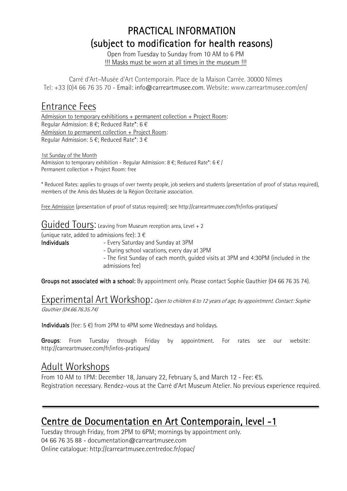# PRACTICAL INFORMATION (subject to modification for health reasons)<br>Open from Tuesday to Sunday from 10 AM to 6 PM

!!! Masks must be worn at all times in the museum !!!

Carré d'Art–Musée d'Art Contemporain. Place de la Maison Carrée. 30000 Nîmes Tel: +33 (0)4 66 76 35 70 - Email: info@carreartmusee.com. Website: www.carreartmusee.com/en/

## Entrance Fees

Admission to temporary exhibitions + permanent collection + Project Room: Regular Admission: 8 €; Reduced Rate\*: 6 € Admission to permanent collection + Project Room: Regular Admission: 5 €; Reduced Rate\*: 3 €

1st Sunday of the Month Admission to temporary exhibition - Regular Admission: 8  $\epsilon$ ; Reduced Rate\*: 6  $\epsilon$  / Permanent collection + Project Room: free

\* Reduced Rates: applies to groups of over twenty people, job seekers and students (presentation of proof of status required), members of the Amis des Musées de la Région Occitanie association.

Free Admission (presentation of proof of status required): see http://carreartmusee.com/fr/infos-pratiques/

Guided Tours: Leaving from Museum reception area, Level + 2

(unique rate, added to admissions fee):  $3 \in$ 

Individuals **Individuals** - Every Saturday and Sunday at 3PM

- During school vacations, every day at 3PM

- The first Sunday of each month, guided visits at 3PM and 4:30PM (included in the admissions fee)

Groups not associated with a school: By appointment only. Please contact Sophie Gauthier (04 66 76 35 74).

#### Experimental Art Workshop: Open to children 6 to 12 years of age, by appointment. Contact: Sophie Gauthier (04.66.76.35.74)

Individuals (fee:  $5 \in \mathcal{E}$ ) from 2PM to 4PM some Wednesdays and holidays.

Groups: From Tuesday through Friday by appointment. For rates see our website: http://carreartmusee.com/fr/infos-pratiques/

### Adult Workshops

From 10 AM to 1PM: December 18, January 22, February 5, and March 12 - Fee: €5. Registration necessary. Rendez-vous at the Carré d'Art Museum Atelier. No previous experience required.

# Centre de Documentation en Art Contemporain, level -1<br>Tuesday through Friday, from 2PM to 6PM; mornings by appointment only.

04 66 76 35 88 - documentation@carreartmusee.com Online catalogue: http://carreartmusee.centredoc.fr/opac/